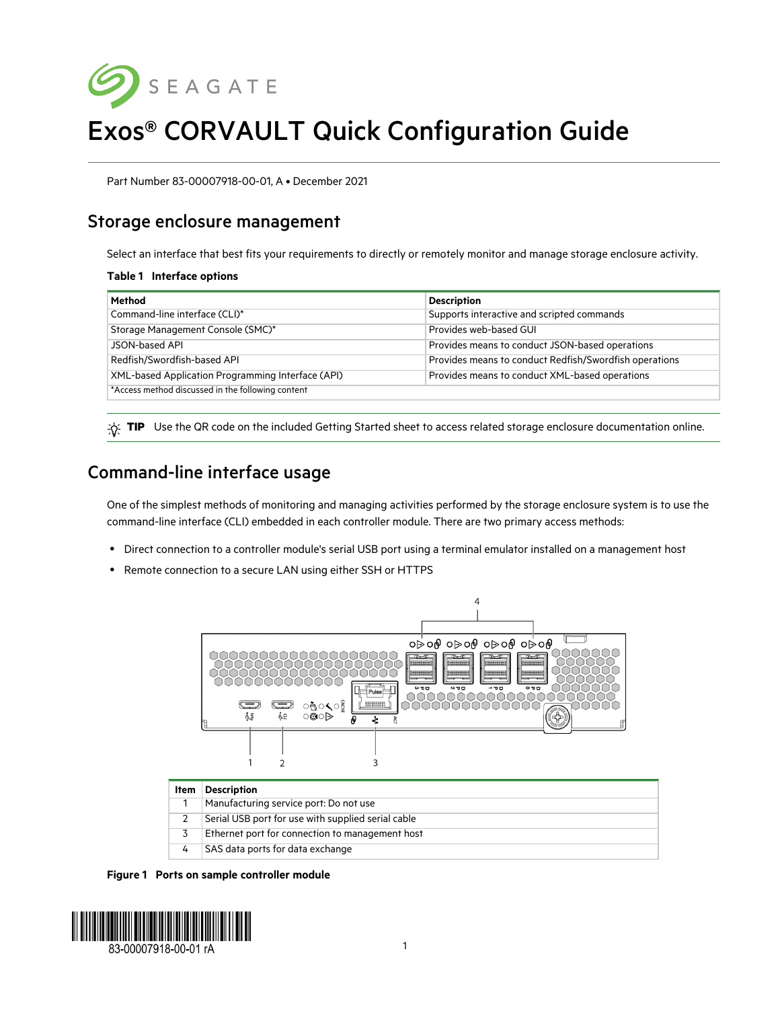

# Exos® CORVAULT Quick Configuration Guide

Part Number 83-00007918-00-01, A • December 2021

# Storage enclosure management

Select an interface that best fits your requirements to directly or remotely monitor and manage storage enclosure activity.

#### **Table 1 Interface options**

| Method                                            | <b>Description</b>                                     |
|---------------------------------------------------|--------------------------------------------------------|
| Command-line interface (CLI)*                     | Supports interactive and scripted commands             |
| Storage Management Console (SMC)*                 | Provides web-based GUI                                 |
| JSON-based API                                    | Provides means to conduct JSON-based operations        |
| Redfish/Swordfish-based API                       | Provides means to conduct Redfish/Swordfish operations |
| XML-based Application Programming Interface (API) | Provides means to conduct XML-based operations         |
| *Access method discussed in the following content |                                                        |

**冷 TIP** Use the QR code on the included Getting Started sheet to access related storage enclosure documentation online.

# Command-line interface usage

One of the simplest methods of monitoring and managing activities performed by the storage enclosure system is to use the command-line interface (CLI) embedded in each controller module. There are two primary access methods:

- Direct connection to a controller module's serial USB port using a terminal emulator installed on a management host
- Remote connection to a secure LAN using either SSH or HTTPS



**Figure 1 Ports on sample controller module**

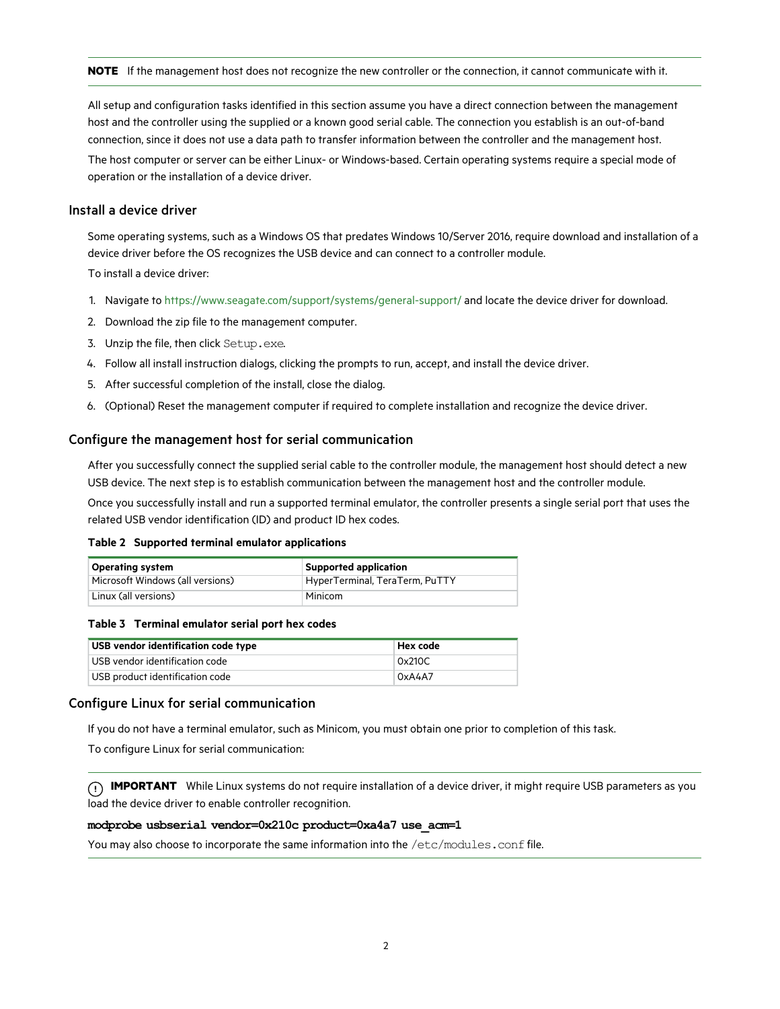#### **NOTE** If the management host does not recognize the new controller or the connection, it cannot communicate with it.

All setup and configuration tasks identified in this section assume you have a direct connection between the management host and the controller using the supplied or a known good serial cable. The connection you establish is an out-of-band connection, since it does not use a data path to transfer information between the controller and the management host. The host computer or server can be either Linux- or Windows-based. Certain operating systems require a special mode of operation or the installation of a device driver.

#### Install a device driver

Some operating systems, such as a Windows OS that predates Windows 10/Server 2016, require download and installation of a device driver before the OS recognizes the USB device and can connect to a controller module.

To install a device driver:

- 1. Navigate to https://www.seagate.com/support/systems/general-support/ and locate the device driver for download.
- 2. Download the zip file to the management computer.
- 3. Unzip the file, then click Setup.exe.
- 4. Follow all install instruction dialogs, clicking the prompts to run, accept, and install the device driver.
- 5. After successful completion of the install, close the dialog.
- 6. (Optional) Reset the management computer if required to complete installation and recognize the device driver.

#### Configure the management host for serial communication

After you successfully connect the supplied serial cable to the controller module, the management host should detect a new USB device. The next step is to establish communication between the management host and the controller module.

Once you successfully install and run a supported terminal emulator, the controller presents a single serial port that uses the related USB vendor identification (ID) and product ID hex codes.

#### **Table 2 Supported terminal emulator applications**

| <b>Operating system</b>          | Supported application          |
|----------------------------------|--------------------------------|
| Microsoft Windows (all versions) | HyperTerminal, TeraTerm, PuTTY |
| Linux (all versions)             | ∣Minicom                       |

#### **Table 3 Terminal emulator serial port hex codes**

| USB vendor identification code type | Hex code |
|-------------------------------------|----------|
| USB vendor identification code      | 0x210C   |
| USB product identification code     | 0xA4A7   |

#### Configure Linux for serial communication

If you do not have a terminal emulator, such as Minicom, you must obtain one prior to completion of this task.

To configure Linux for serial communication:

**IMPORTANT** While Linux systems do not require installation of a device driver, it might require USB parameters as you load the device driver to enable controller recognition.

#### **modprobe usbserial vendor=0x210c product=0xa4a7 use\_acm=1**

You may also choose to incorporate the same information into the /etc/modules.conf file.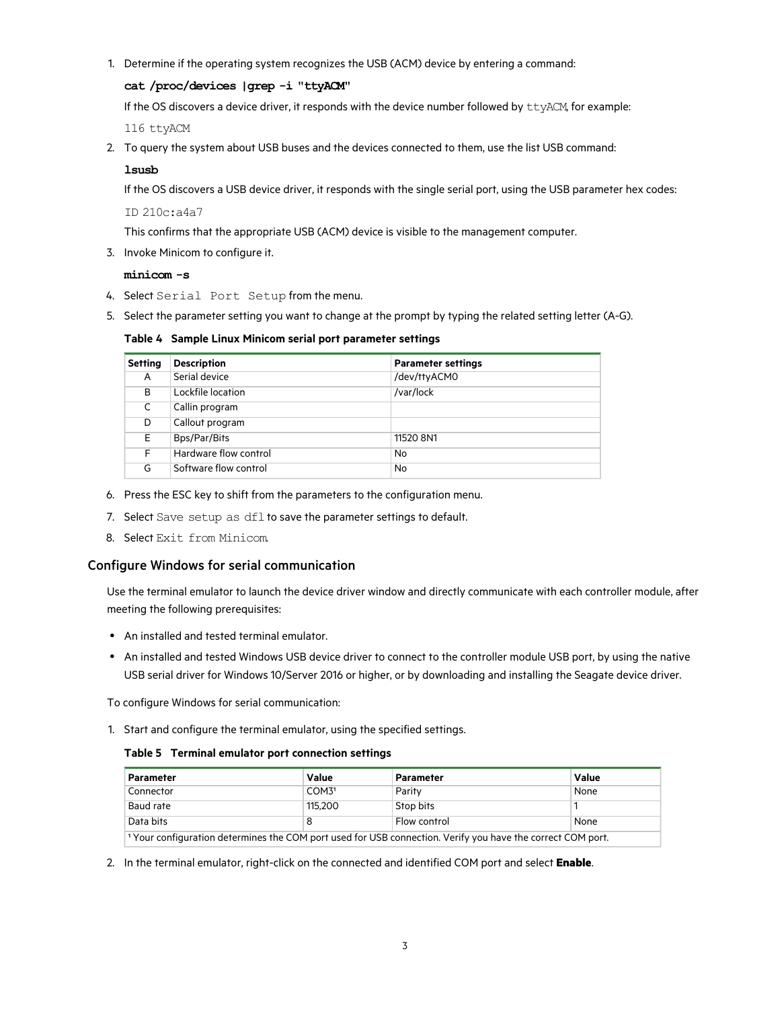1. Determine if the operating system recognizes the USB (ACM) device by entering a command:

#### **cat /proc/devices |grep -i "ttyACM"**

If the OS discovers a device driver, it responds with the device number followed by ttyACM, for example:

116 ttyACM

2. To query the system about USB buses and the devices connected to them, use the list USB command:

### **lsusb**

If the OS discovers a USB device driver, it responds with the single serial port, using the USB parameter hex codes:

ID 210c:a4a7

This confirms that the appropriate USB (ACM) device is visible to the management computer.

3. Invoke Minicom to configure it.

#### **minicom -s**

- 4. Select Serial Port Setup from the menu.
- 5. Select the parameter setting you want to change at the prompt by typing the related setting letter (A-G).

#### **Table 4 Sample Linux Minicom serial port parameter settings**

| <b>Setting</b> | <b>Description</b>    | <b>Parameter settings</b> |
|----------------|-----------------------|---------------------------|
| A              | Serial device         | /dev/ttyACM0              |
| B              | Lockfile location     | /var/lock                 |
| C              | Callin program        |                           |
| D              | Callout program       |                           |
| Е              | Bps/Par/Bits          | 11520 8N1                 |
| F.             | Hardware flow control | No                        |
| G              | Software flow control | No                        |

- 6. Press the ESC key to shift from the parameters to the configuration menu.
- 7. Select Save setup as dfl to save the parameter settings to default.
- 8. Select Exit from Minicom.

## Configure Windows for serial communication

Use the terminal emulator to launch the device driver window and directly communicate with each controller module, after meeting the following prerequisites:

- An installed and tested terminal emulator.
- An installed and tested Windows USB device driver to connect to the controller module USB port, by using the native USB serial driver for Windows 10/Server 2016 or higher, or by downloading and installing the Seagate device driver.

To configure Windows for serial communication:

1. Start and configure the terminal emulator, using the specified settings.

#### **Table 5 Terminal emulator port connection settings**

| <b>Parameter</b>                                                                                                       | Value             | <b>Parameter</b> | Value |
|------------------------------------------------------------------------------------------------------------------------|-------------------|------------------|-------|
| Connector                                                                                                              | COM3 <sup>1</sup> | Parity           | None  |
| Baud rate                                                                                                              | 115.200           | Stop bits        |       |
| Data bits                                                                                                              |                   | Flow control     | None  |
| <sup>1</sup> Your configuration determines the COM port used for USB connection. Verify you have the correct COM port. |                   |                  |       |

2. In the terminal emulator, right-click on the connected and identified COM port and select **Enable**.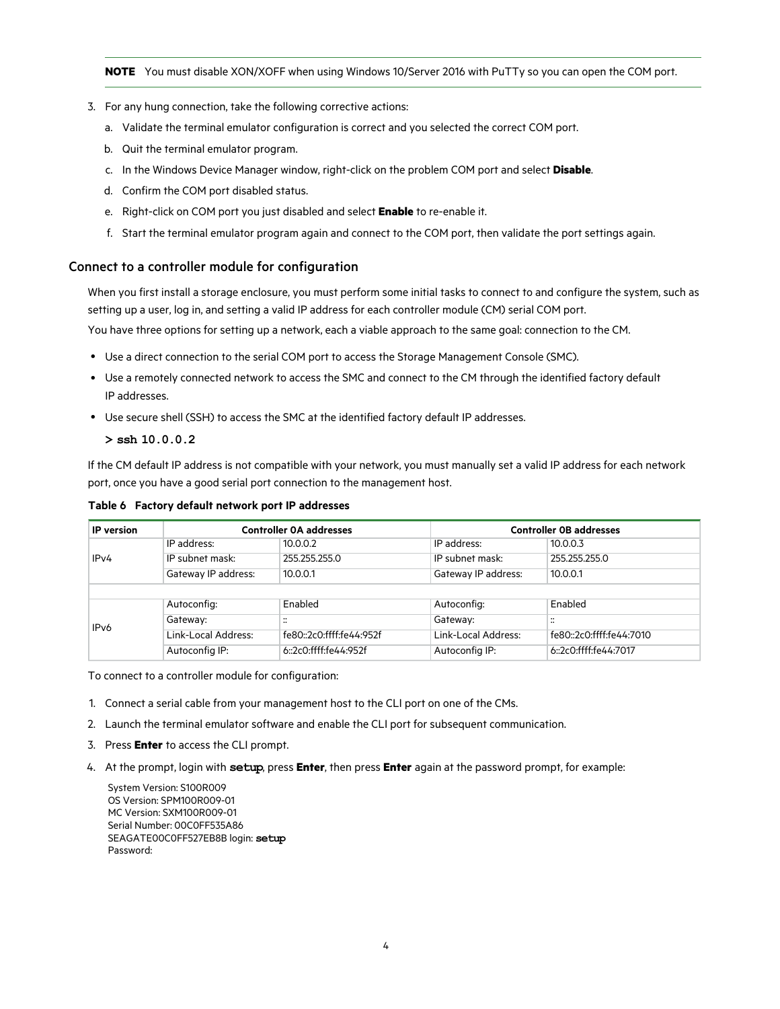#### **NOTE** You must disable XON/XOFF when using Windows 10/Server 2016 with PuTTy so you can open the COM port.

- 3. For any hung connection, take the following corrective actions:
	- a. Validate the terminal emulator configuration is correct and you selected the correct COM port.
	- b. Quit the terminal emulator program.
	- c. In the Windows Device Manager window, right-click on the problem COM port and select **Disable**.
	- d. Confirm the COM port disabled status.
	- e. Right-click on COM port you just disabled and select **Enable** to re-enable it.
	- f. Start the terminal emulator program again and connect to the COM port, then validate the port settings again.

#### <span id="page-3-0"></span>Connect to a controller module for configuration

When you first install a storage enclosure, you must perform some initial tasks to connect to and configure the system, such as setting up a user, log in, and setting a valid IP address for each controller module (CM) serial COM port.

You have three options for setting up a network, each a viable approach to the same goal: connection to the CM.

- Use a direct connection to the serial COM port to access the Storage Management Console (SMC).
- Use a remotely connected network to access the SMC and connect to the CM through the identified factory default IP addresses.
- Use secure shell (SSH) to access the SMC at the identified factory default IP addresses.

#### **> ssh 10.0.0.2**

If the CM default IP address is not compatible with your network, you must manually set a valid IP address for each network port, once you have a good serial port connection to the management host.

| <b>IP</b> version | <b>Controller OA addresses</b> |                          | <b>Controller OB addresses</b> |                                          |
|-------------------|--------------------------------|--------------------------|--------------------------------|------------------------------------------|
|                   | IP address:                    | 10.0.0.2                 | IP address:                    | 10.0.0.3                                 |
| IPv4              | IP subnet mask:                | 255.255.255.0            | IP subnet mask:                | 255.255.255.0                            |
|                   | Gateway IP address:            | 10.0.0.1                 | Gateway IP address:            | 10.0.0.1                                 |
|                   |                                |                          |                                |                                          |
|                   | Autoconfig:                    | Enabled                  | Autoconfig:                    | Enabled                                  |
| IP <sub>v</sub> 6 | Gateway:                       | $\bullet\bullet$<br>     | Gateway:                       | $\ddot{\phantom{0}}$<br>$\bullet\bullet$ |
|                   | Link-Local Address:            | fe80::2c0:ffff:fe44:952f | Link-Local Address:            | fe80::2c0:ffff:fe44:7010                 |
|                   | Autoconfig IP:                 | 6:2c0:ffff:fe44:952f     | Autoconfig IP:                 | 6:2c0:ffff:fe44:7017                     |

**Table 6 Factory default network port IP addresses**

To connect to a controller module for configuration:

- 1. Connect a serial cable from your management host to the CLI port on one of the CMs.
- 2. Launch the terminal emulator software and enable the CLI port for subsequent communication.
- 3. Press **Enter** to access the CLI prompt.
- 4. At the prompt, login with **setup**, press **Enter**, then press **Enter** again at the password prompt, for example:

System Version: S100R009 OS Version: SPM100R009-01 MC Version: SXM100R009-01 Serial Number: 00C0FF535A86 SEAGATE00C0FF527EB8B login: **setup** Password: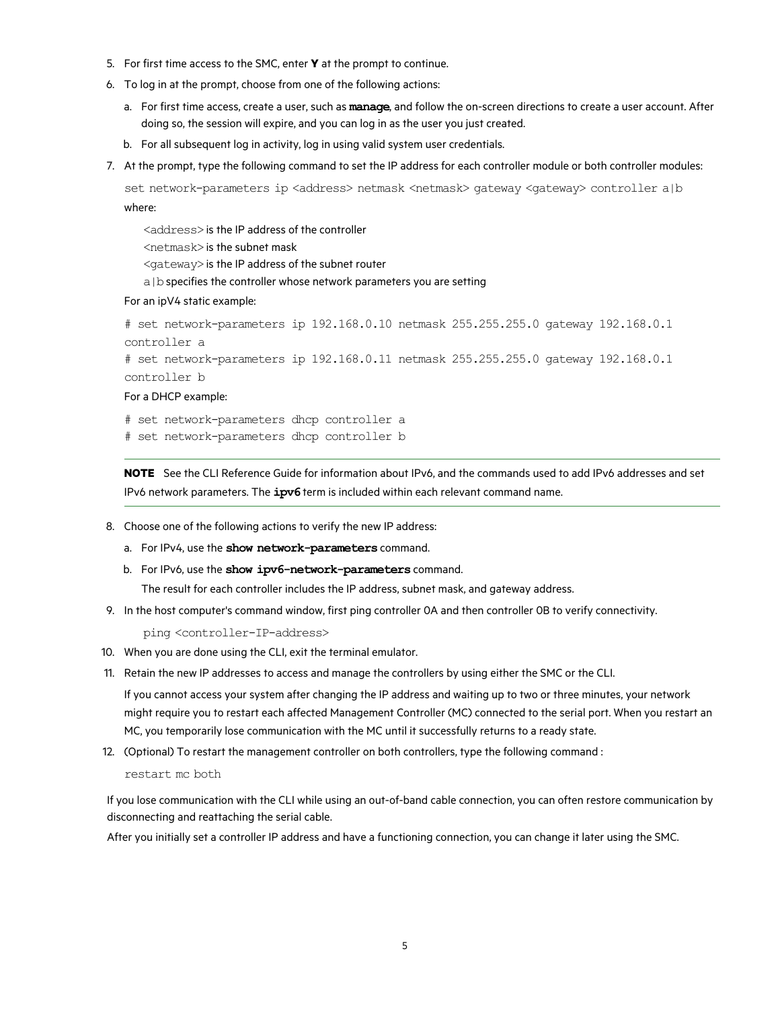- 5. For first time access to the SMC, enter **Y** at the prompt to continue.
- 6. To log in at the prompt, choose from one of the following actions:
	- a. For first time access, create a user, such as **manage**, and follow the on-screen directions to create a user account. After doing so, the session will expire, and you can log in as the user you just created.
	- b. For all subsequent log in activity, log in using valid system user credentials.
- 7. At the prompt, type the following command to set the IP address for each controller module or both controller modules:

set network-parameters ip <address> netmask <netmask> gateway <gateway> controller a|b where:

<address>is the IP address of the controller <netmask>is the subnet mask <gateway>is the IP address of the subnet router a | b specifies the controller whose network parameters you are setting

For an ipV4 static example:

# set network-parameters ip 192.168.0.10 netmask 255.255.255.0 gateway 192.168.0.1 controller a

```
# set network-parameters ip 192.168.0.11 netmask 255.255.255.0 gateway 192.168.0.1
controller b
```
For a DHCP example:

# set network-parameters dhcp controller a

# set network-parameters dhcp controller b

**NOTE** See the CLI Reference Guide for information about IPv6, and the commands used to add IPv6 addresses and set IPv6 network parameters. The **ipv6**term is included within each relevant command name.

- 8. Choose one of the following actions to verify the new IP address:
	- a. For IPv4, use the **show network-parameters**command.
	- b. For IPv6, use the **show ipv6-network-parameters**command.

The result for each controller includes the IP address, subnet mask, and gateway address.

9. In the host computer's command window, first ping controller 0A and then controller 0B to verify connectivity.

ping <controller-IP-address>

- 10. When you are done using the CLI, exit the terminal emulator.
- 11. Retain the new IP addresses to access and manage the controllers by using either the SMC or the CLI.

If you cannot access your system after changing the IP address and waiting up to two or three minutes, your network might require you to restart each affected Management Controller (MC) connected to the serial port. When you restart an MC, you temporarily lose communication with the MC until it successfully returns to a ready state.

12. (Optional) To restart the management controller on both controllers, type the following command :

restart mc both

If you lose communication with the CLI while using an out-of-band cable connection, you can often restore communication by disconnecting and reattaching the serial cable.

After you initially set a controller IP address and have a functioning connection, you can change it later using the SMC.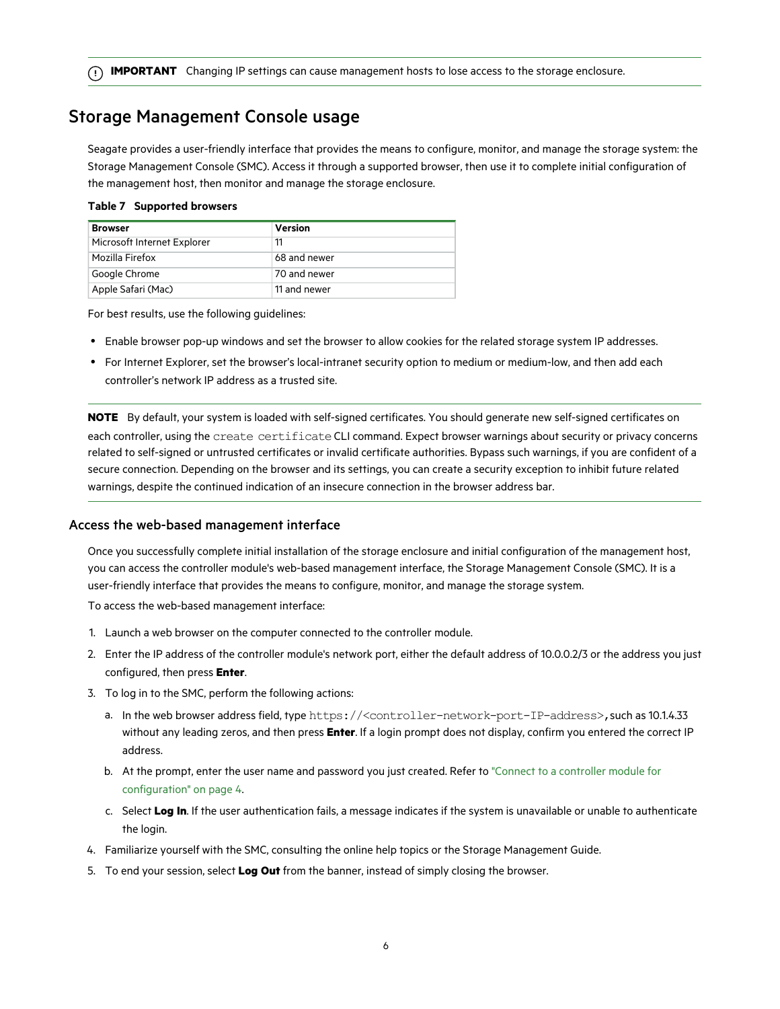**IMPORTANT** Changing IP settings can cause management hosts to lose access to the storage enclosure. ∩

# Storage Management Console usage

Seagate provides a user-friendly interface that provides the means to configure, monitor, and manage the storage system: the Storage Management Console (SMC). Access it through a supported browser, then use it to complete initial configuration of the management host, then monitor and manage the storage enclosure.

#### **Table 7 Supported browsers**

| <b>Browser</b>              | Version      |
|-----------------------------|--------------|
| Microsoft Internet Explorer | 11           |
| Mozilla Firefox             | 68 and newer |
| Google Chrome               | 70 and newer |
| Apple Safari (Mac)          | 11 and newer |

For best results, use the following guidelines:

- Enable browser pop-up windows and set the browser to allow cookies for the related storage system IP addresses.
- For Internet Explorer, set the browser's local-intranet security option to medium or medium-low, and then add each controller's network IP address as a trusted site.

**NOTE** By default, your system is loaded with self-signed certificates. You should generate new self-signed certificates on each controller, using the create certificate CLI command. Expect browser warnings about security or privacy concerns related to self-signed or untrusted certificates or invalid certificate authorities. Bypass such warnings, if you are confident of a secure connection. Depending on the browser and its settings, you can create a security exception to inhibit future related warnings, despite the continued indication of an insecure connection in the browser address bar.

## Access the web-based management interface

Once you successfully complete initial installation of the storage enclosure and initial configuration of the management host, you can access the controller module's web-based management interface, the Storage Management Console (SMC). It is a user-friendly interface that provides the means to configure, monitor, and manage the storage system.

To access the web-based management interface:

- 1. Launch a web browser on the computer connected to the controller module.
- 2. Enter the IP address of the controller module's network port, either the default address of 10.0.0.2/3 or the address you just configured, then press **Enter**.
- 3. To log in to the SMC, perform the following actions:
	- a. In the web browser address field, type https://<controller-network-port-IP-address>,such as 10.1.4.33 without any leading zeros, and then press **Enter**. If a login prompt does not display, confirm you entered the correct IP address.
	- b. At the prompt, enter the user name and password you just created. Refer to "Connect to a [controller](#page-3-0) module for [configuration"](#page-3-0) on page 4.
	- c. Select **Log In**. If the user authentication fails, a message indicates if the system is unavailable or unable to authenticate the login.
- 4. Familiarize yourself with the SMC, consulting the online help topics or the Storage Management Guide.
- 5. To end your session, select **Log Out** from the banner, instead of simply closing the browser.